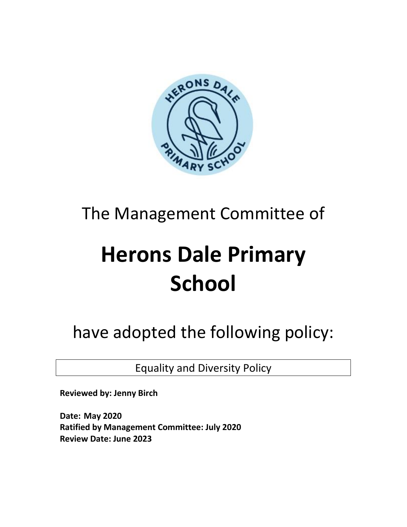

## The Management Committee of

# **Herons Dale Primary School**

have adopted the following policy:

Equality and Diversity Policy

**Reviewed by: Jenny Birch**

**Date: May 2020 Ratified by Management Committee: July 2020 Review Date: June 2023**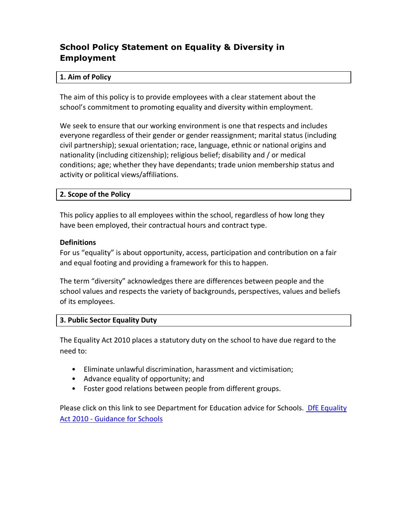### **School Policy Statement on Equality & Diversity in Employment**

#### **1. Aim of Policy**

The aim of this policy is to provide employees with a clear statement about the school's commitment to promoting equality and diversity within employment.

We seek to ensure that our working environment is one that respects and includes everyone regardless of their gender or gender reassignment; marital status (including civil partnership); sexual orientation; race, language, ethnic or national origins and nationality (including citizenship); religious belief; disability and / or medical conditions; age; whether they have dependants; trade union membership status and activity or political views/affiliations.

#### **2. Scope of the Policy**

This policy applies to all employees within the school, regardless of how long they have been employed, their contractual hours and contract type.

#### **Definitions**

For us "equality" is about opportunity, access, participation and contribution on a fair and equal footing and providing a framework for this to happen.

The term "diversity" acknowledges there are differences between people and the school values and respects the variety of backgrounds, perspectives, values and beliefs of its employees.

#### **3. Public Sector Equality Duty**

The Equality Act 2010 places a statutory duty on the school to have due regard to the need to:

- Eliminate unlawful discrimination, harassment and victimisation;
- Advance equality of opportunity; and
- Foster good relations between people from different groups.

Please click on this link to see Department for Education advice for Schools. DfE Equality Act 2010 - [Guidance for Schools](http://www.education.gov.uk/aboutdfe/policiesandprocedures/equalityanddiversity/a0064570/the-equality-act-2010)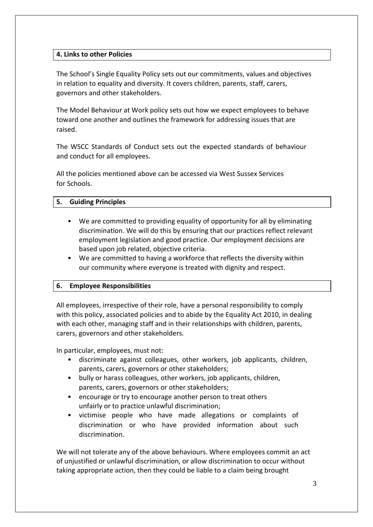#### **4. Links to other Policies**

The School's Single Equality Policy sets out our commitments, values and objectives in relation to equality and diversity. It covers children, parents, staff, carers, governors and other stakeholders.

The Model Behaviour at Work policy sets out how we expect employees to behave toward one another and outlines the framework for addressing issues that are raised.

The WSCC Standards of Conduct sets out the expected standards of behaviour and conduct for all employees.

All the policies mentioned above can be accessed via West Sussex Services for Schools.

#### **5. Guiding Principles**

- We are committed to providing equality of opportunity for all by eliminating discrimination. We will do this by ensuring that our practices reflect relevant employment legislation and good practice. Our employment decisions are based upon job related, objective criteria.
- We are committed to having a workforce that reflects the diversity within our community where everyone is treated with dignity and respect.

#### **6. Employee Responsibilities**

All employees, irrespective of their role, have a personal responsibility to comply with this policy, associated policies and to abide by the Equality Act 2010, in dealing with each other, managing staff and in their relationships with children, parents, carers, governors and other stakeholders.

In particular, employees, must not:

- discriminate against colleagues, other workers, job applicants, children, parents, carers, governors or other stakeholders;
- bully or harass colleagues, other workers, job applicants, children, parents, carers, governors or other stakeholders;
- encourage or try to encourage another person to treat others unfairly or to practice unlawful discrimination;
- victimise people who have made allegations or complaints of discrimination or who have provided information about such discrimination.

We will not tolerate any of the above behaviours. Where employees commit an act of unjustified or unlawful discrimination, or allow discrimination to occur without taking appropriate action, then they could be liable to a claim being brought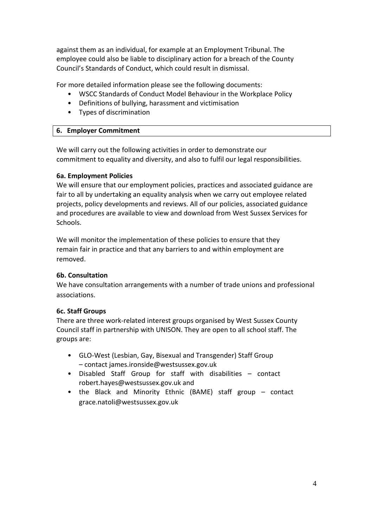against them as an individual, for example at an Employment Tribunal. The employee could also be liable to disciplinary action for a breach of the County Council's Standards of Conduct, which could result in dismissal.

For more detailed information please see the following documents:

- WSCC Standards of Conduct Model Behaviour in the Workplace Policy
- Definitions of bullying, harassment and victimisation
- Types of discrimination

#### **6. Employer Commitment**

We will carry out the following activities in order to demonstrate our commitment to equality and diversity, and also to fulfil our legal responsibilities.

#### **6a. Employment Policies**

We will ensure that our employment policies, practices and associated guidance are fair to all by undertaking an equality analysis when we carry out employee related projects, policy developments and reviews. All of our policies, associated guidance and procedures are available to view and download from West Sussex Services for Schools.

We will monitor the implementation of these policies to ensure that they remain fair in practice and that any barriers to and within employment are removed.

#### **6b. Consultation**

We have consultation arrangements with a number of trade unions and professional associations.

#### **6c. Staff Groups**

There are three work-related interest groups organised by West Sussex County Council staff in partnership with UNISON. They are open to all school staff. The groups are:

- GLO-West (Lesbian, Gay, Bisexual and Transgender) Staff Group – contact james.ironside@westsussex.gov.uk
- Disabled Staff Group for staff with disabilities contact robert.hayes@westsussex.gov.uk and
- the Black and Minority Ethnic (BAME) staff group contact grace.natoli@westsussex.gov.uk